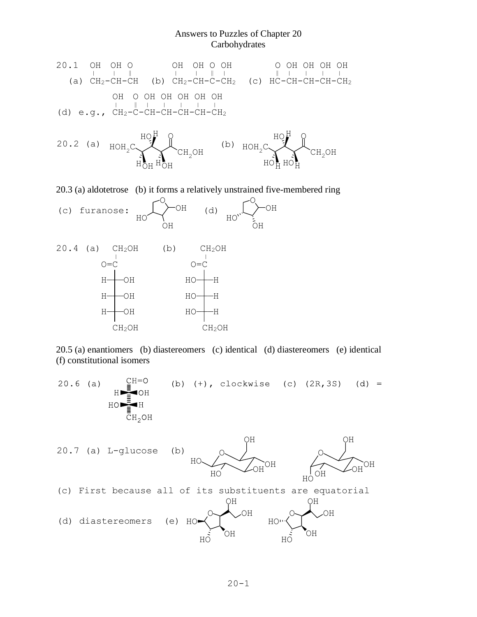## Answers to Puzzles of Chapter 20 **Carbohydrates**





20.3 (a) aldotetrose (b) it forms a relatively unstrained five-membered ring





20.5 (a) enantiomers (b) diastereomers (c) identical (d) diastereomers (e) identical (f) constitutional isomers

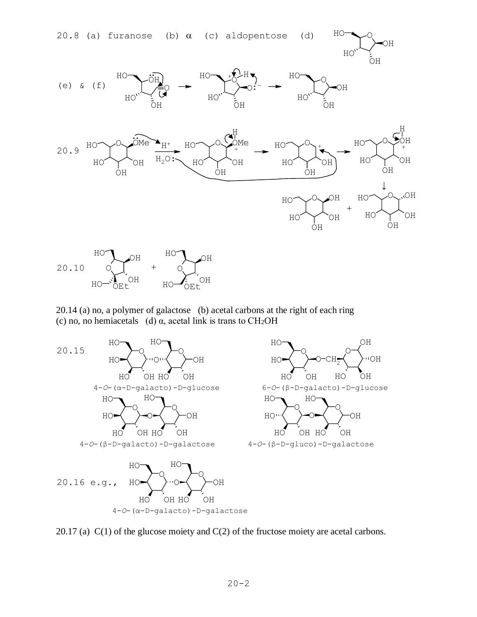

20.14 (a) no, a polymer of galactose (b) acetal carbons at the right of each ring (c) no, no hemiacetals (d)  $\alpha$ , acetal link is trans to CH<sub>2</sub>OH



20.17 (a) C(1) of the glucose moiety and C(2) of the fructose moiety are acetal carbons.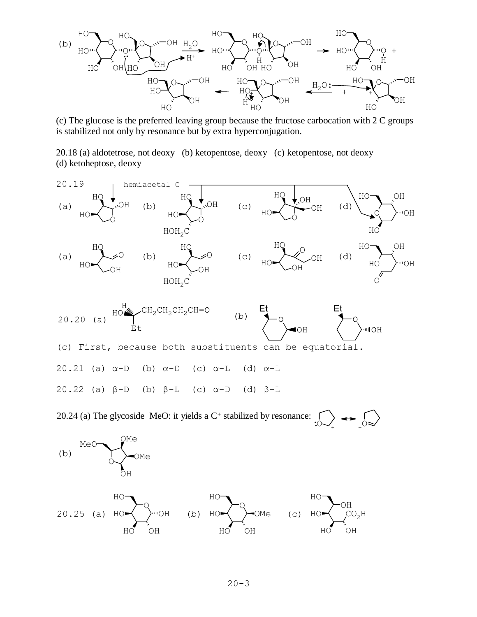

(c) The glucose is the preferred leaving group because the fructose carbocation with 2 C groups is stabilized not only by resonance but by extra hyperconjugation.

20.18 (a) aldotetrose, not deoxy (b) ketopentose, deoxy (c) ketopentose, not deoxy (d) ketoheptose, deoxy



 $\circ$ 20.24 (a) The glycoside MeO: it yields a  $C<sup>+</sup>$  stabilized by resonance:  $\cdot$   $\circ$   $\overrightarrow{ }$   $\rightarrow$ 

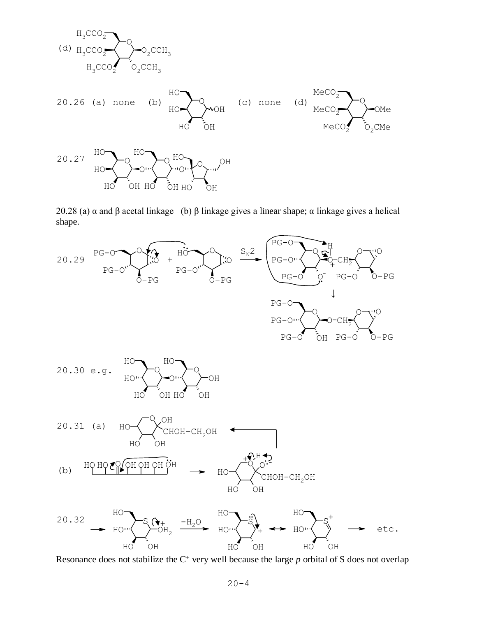

20.28 (a)  $\alpha$  and β acetal linkage (b) β linkage gives a linear shape;  $\alpha$  linkage gives a helical shape.



Resonance does not stabilize the C<sup>+</sup> very well because the large *p* orbital of S does not overlap